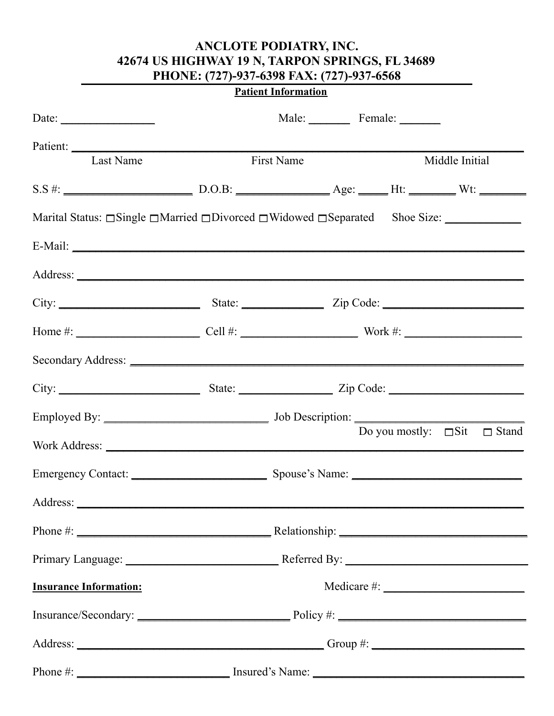# ANCLOTE PODIATRY, INC. 42674 US HIGHWAY 19 N, TARPON SPRINGS, FL 34689 PHONE: (727)-937-6398 FAX: (727)-937-6568

## **Patient Information**

| Date: $\frac{1}{\sqrt{1-\frac{1}{2}} \cdot \frac{1}{2}}$ |                   | Male: Female: ________                                                                                  |
|----------------------------------------------------------|-------------------|---------------------------------------------------------------------------------------------------------|
| Patient:<br><b>Last Name</b>                             | <b>First Name</b> | Middle Initial                                                                                          |
|                                                          |                   |                                                                                                         |
|                                                          |                   | Marital Status: $\Box$ Single $\Box$ Married $\Box$ Divorced $\Box$ Widowed $\Box$ Separated Shoe Size: |
|                                                          |                   |                                                                                                         |
|                                                          |                   |                                                                                                         |
|                                                          |                   |                                                                                                         |
|                                                          |                   |                                                                                                         |
|                                                          |                   |                                                                                                         |
|                                                          |                   |                                                                                                         |
|                                                          |                   |                                                                                                         |
|                                                          |                   | Do you mostly: $\square$ Sit $\square$ Stand                                                            |
|                                                          |                   |                                                                                                         |
| Address:                                                 |                   |                                                                                                         |
|                                                          |                   |                                                                                                         |
|                                                          |                   |                                                                                                         |
| <b>Insurance Information:</b>                            |                   |                                                                                                         |
|                                                          |                   |                                                                                                         |
|                                                          |                   |                                                                                                         |
|                                                          |                   |                                                                                                         |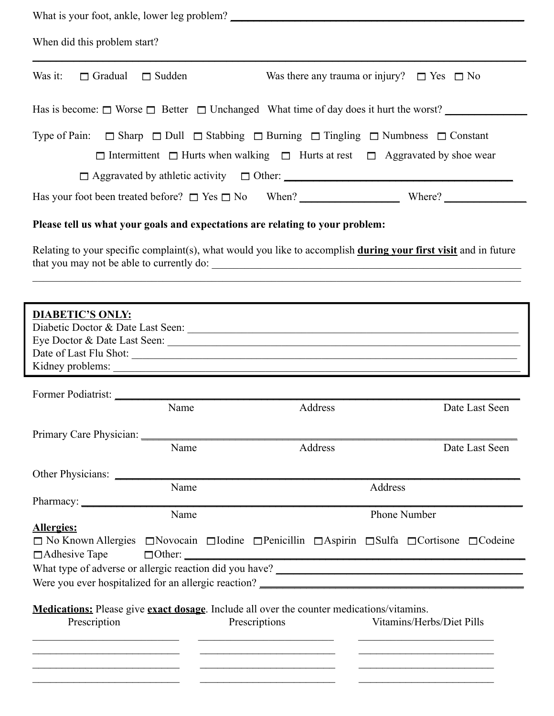| When did this problem start?              |                                                                                                          |               |                                                                                                                                                                                                                            |
|-------------------------------------------|----------------------------------------------------------------------------------------------------------|---------------|----------------------------------------------------------------------------------------------------------------------------------------------------------------------------------------------------------------------------|
| Was it:<br>$\Box$ Gradual $\Box$ Sudden   |                                                                                                          |               | Was there any trauma or injury? $\Box$ Yes $\Box$ No                                                                                                                                                                       |
|                                           |                                                                                                          |               | Has is become: $\Box$ Worse $\Box$ Better $\Box$ Unchanged What time of day does it hurt the worst?                                                                                                                        |
|                                           |                                                                                                          |               | Type of Pain: $\Box$ Sharp $\Box$ Dull $\Box$ Stabbing $\Box$ Burning $\Box$ Tingling $\Box$ Numbness $\Box$ Constant<br>$\Box$ Intermittent $\Box$ Hurts when walking $\Box$ Hurts at rest $\Box$ Aggravated by shoe wear |
|                                           |                                                                                                          |               | Has your foot been treated before? $\Box$ Yes $\Box$ No When? When Where?                                                                                                                                                  |
|                                           | Please tell us what your goals and expectations are relating to your problem:                            |               | Relating to your specific complaint(s), what would you like to accomplish during your first visit and in future                                                                                                            |
| <b>DIABETIC'S ONLY:</b>                   |                                                                                                          |               | Kidney problems:                                                                                                                                                                                                           |
|                                           | Name                                                                                                     | Address       | Date Last Seen                                                                                                                                                                                                             |
|                                           |                                                                                                          |               |                                                                                                                                                                                                                            |
|                                           | Name                                                                                                     | Address       | Date Last Seen                                                                                                                                                                                                             |
|                                           |                                                                                                          |               |                                                                                                                                                                                                                            |
|                                           | Name                                                                                                     |               | Address                                                                                                                                                                                                                    |
|                                           | Pharmacy:<br>Name                                                                                        |               | <b>Phone Number</b>                                                                                                                                                                                                        |
| <b>Allergies:</b><br>$\Box$ Adhesive Tape |                                                                                                          |               | $\Box$ No Known Allergies $\Box$ Novocain $\Box$ Iodine $\Box$ Penicillin $\Box$ Aspirin $\Box$ Sulfa $\Box$ Cortisone $\Box$ Codeine                                                                                      |
|                                           |                                                                                                          |               |                                                                                                                                                                                                                            |
| Prescription                              | <b>Medications:</b> Please give <b>exact dosage</b> . Include all over the counter medications/vitamins. | Prescriptions | Vitamins/Herbs/Diet Pills                                                                                                                                                                                                  |
|                                           |                                                                                                          |               |                                                                                                                                                                                                                            |
|                                           |                                                                                                          |               |                                                                                                                                                                                                                            |
|                                           |                                                                                                          |               |                                                                                                                                                                                                                            |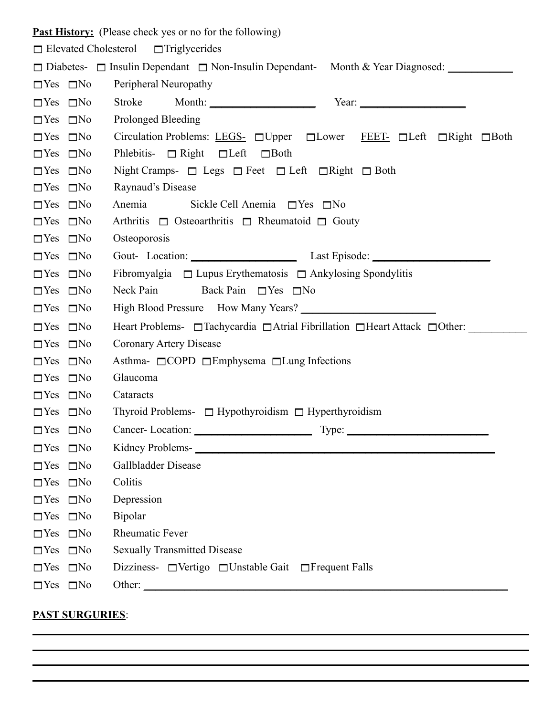|                      |                      | <b>Past History:</b> (Please check yes or no for the following)                        |  |  |
|----------------------|----------------------|----------------------------------------------------------------------------------------|--|--|
|                      |                      | $\Box$ Elevated Cholesterol $\Box$ Triglycerides                                       |  |  |
|                      |                      | □ Diabetes- □ Insulin Dependant □ Non-Insulin Dependant- Month & Year Diagnosed:       |  |  |
| $\Box$ Yes $\Box$ No |                      | Peripheral Neuropathy                                                                  |  |  |
| $\Box$ Yes $\Box$ No |                      | Stroke Month: Year: Year:                                                              |  |  |
| $\Box$ Yes $\Box$ No |                      | Prolonged Bleeding                                                                     |  |  |
| $\Box$ Yes $\Box$ No |                      | Circulation Problems: LEGS- □Upper □Lower FEET- □Left □Right □Both                     |  |  |
| $\Box$ Yes $\Box$ No |                      | Phlebitis- $\Box$ Right $\Box$ Left $\Box$ Both                                        |  |  |
| $\Box$ Yes $\Box$ No |                      | Night Cramps- $\Box$ Legs $\Box$ Feet $\Box$ Left $\Box$ Right $\Box$ Both             |  |  |
| $\Box$ Yes $\Box$ No |                      | Raynaud's Disease                                                                      |  |  |
| $\Box$ Yes $\Box$ No |                      | Anemia<br>Sickle Cell Anemia $\Box$ Yes $\Box$ No                                      |  |  |
| $\Box$ Yes $\Box$ No |                      | Arthritis $\Box$ Osteoarthritis $\Box$ Rheumatoid $\Box$ Gouty                         |  |  |
| $\Box$ Yes $\Box$ No |                      | Osteoporosis                                                                           |  |  |
| $\Box$ Yes $\Box$ No |                      | Gout- Location: Last Episode: Last Episode:                                            |  |  |
| $\Box$ Yes $\Box$ No |                      | Fibromyalgia $\Box$ Lupus Erythematosis $\Box$ Ankylosing Spondylitis                  |  |  |
| $\Box$ Yes $\Box$ No |                      | Neck Pain<br>Back Pain $\Box$ Yes $\Box$ No                                            |  |  |
| $\Box$ Yes $\Box$ No |                      |                                                                                        |  |  |
| $\Box$ Yes $\Box$ No |                      | Heart Problems- □ Tachycardia □ Atrial Fibrillation □ Heart Attack □ Other: __________ |  |  |
| $\Box$ Yes $\Box$ No |                      | Coronary Artery Disease                                                                |  |  |
| $\Box$ Yes $\Box$ No |                      | Asthma- $\Box$ COPD $\Box$ Emphysema $\Box$ Lung Infections                            |  |  |
| $\Box$ Yes $\Box$ No |                      | Glaucoma                                                                               |  |  |
| $\Box$ Yes $\Box$ No |                      | Cataracts                                                                              |  |  |
| $\Box$ Yes $\Box$ No |                      | Thyroid Problems- $\Box$ Hypothyroidism $\Box$ Hyperthyroidism                         |  |  |
|                      | $\Box$ Yes $\Box$ No | Cancer-Location: Type: Type:                                                           |  |  |
| $\Box$ Yes $\Box$ No |                      |                                                                                        |  |  |
| $\Box$ Yes $\Box$ No |                      | Gallbladder Disease                                                                    |  |  |
| $\Box$ Yes $\Box$ No |                      | Colitis                                                                                |  |  |
| $\Box$ Yes $\Box$ No |                      | Depression                                                                             |  |  |
| $\Box$ Yes $\Box$ No |                      | Bipolar                                                                                |  |  |
| $\Box$ Yes $\Box$ No |                      | Rheumatic Fever                                                                        |  |  |
| $\Box$ Yes $\Box$ No |                      | <b>Sexually Transmitted Disease</b>                                                    |  |  |
| $\Box$ Yes $\Box$ No |                      | Dizziness- $\Box$ Vertigo $\Box$ Unstable Gait $\Box$ Frequent Falls                   |  |  |
| $\Box$ Yes $\Box$ No |                      |                                                                                        |  |  |
|                      |                      |                                                                                        |  |  |

## **PAST SURGURIES**: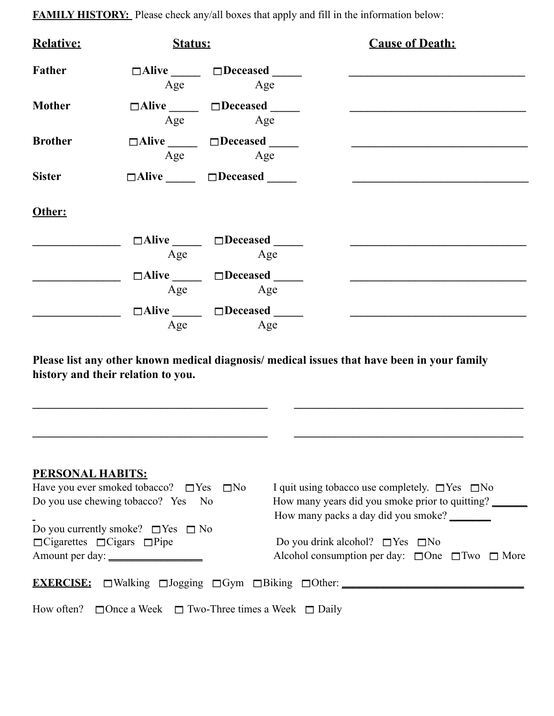| <b>FAMILY HISTORY:</b> Please check any/all boxes that apply and fill in the information below: |  |  |  |  |
|-------------------------------------------------------------------------------------------------|--|--|--|--|
|-------------------------------------------------------------------------------------------------|--|--|--|--|

| <b>Relative:</b> | Status: |                                                            | <b>Cause of Death:</b> |  |
|------------------|---------|------------------------------------------------------------|------------------------|--|
| Father           | Age     | $\square$ Alive $\square$ Deceased $\square$<br>Age        |                        |  |
| <b>Mother</b>    |         | $\square$ Alive $\square$ Deceased $\square$<br>Age<br>Age |                        |  |
| <b>Brother</b>   | Age     | $\Box$ Alive $\Box$ Deceased<br>Age                        |                        |  |
| <b>Sister</b>    |         | $\Box$ Alive $\Box$ Deceased                               |                        |  |
| Other:           |         |                                                            |                        |  |
|                  | Age     | $\square$ Alive $\square$ Deceased $\square$<br>Age        |                        |  |
|                  | Age     | $\Box$ Alive $\Box$ Deceased<br>Age                        |                        |  |
|                  | Age     | $\square$ Alive $\square$ Deceased<br>Age                  |                        |  |

**Please list any other known medical diagnosis/ medical issues that have been in your family history and their relation to you.**

**\_\_\_\_\_\_\_\_\_\_\_\_\_\_\_\_\_\_\_\_\_\_\_\_\_\_\_\_\_\_\_\_\_\_\_\_\_\_\_\_ \_\_\_\_\_\_\_\_\_\_\_\_\_\_\_\_\_\_\_\_\_\_\_\_\_\_\_\_\_\_\_\_\_\_\_\_\_\_\_**

**\_\_\_\_\_\_\_\_\_\_\_\_\_\_\_\_\_\_\_\_\_\_\_\_\_\_\_\_\_\_\_\_\_\_\_\_\_\_\_\_ \_\_\_\_\_\_\_\_\_\_\_\_\_\_\_\_\_\_\_\_\_\_\_\_\_\_\_\_\_\_\_\_\_\_\_\_\_\_\_**

| <b>PERSONAL HABITS:</b>                                                  |                                                                |
|--------------------------------------------------------------------------|----------------------------------------------------------------|
| Have you ever smoked tobacco? $\Box$ Yes $\Box$ No                       | I quit using tobacco use completely. $\Box$ Yes $\Box$ No      |
| Do you use chewing tobacco? Yes No                                       | How many years did you smoke prior to quitting?                |
|                                                                          | How many packs a day did you smoke?                            |
| Do you currently smoke? $\Box$ Yes $\Box$ No                             |                                                                |
| $\Box$ Cigarettes $\Box$ Cigars $\Box$ Pipe                              | Do you drink alcohol? $\Box$ Yes $\Box$ No                     |
| Amount per day:                                                          | Alcohol consumption per day: $\Box$ One $\Box$ Two $\Box$ More |
|                                                                          |                                                                |
|                                                                          |                                                                |
|                                                                          |                                                                |
| How often? $\Box$ Once a Week $\Box$ Two-Three times a Week $\Box$ Daily |                                                                |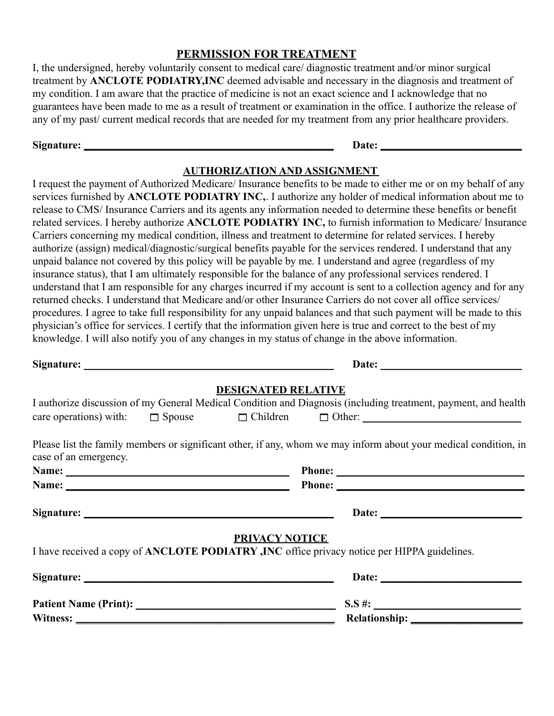#### **PERMISSION FOR TREATMENT**

I, the undersigned, hereby voluntarily consent to medical care/ diagnostic treatment and/or minor surgical treatment by **ANCLOTE PODIATRY,INC** deemed advisable and necessary in the diagnosis and treatment of my condition. I am aware that the practice of medicine is not an exact science and I acknowledge that no guarantees have been made to me as a result of treatment or examination in the office. I authorize the release of any of my past/ current medical records that are needed for my treatment from any prior healthcare providers.

#### **Signature: \_\_\_\_\_\_\_\_\_\_\_\_\_\_\_\_\_\_\_\_\_\_\_\_\_\_\_\_\_\_\_\_\_\_\_\_\_\_\_\_\_\_\_\_\_\_ Date: \_\_\_\_\_\_\_\_\_\_\_\_\_\_\_\_\_\_\_\_\_\_\_\_\_\_**

#### **AUTHORIZATION AND ASSIGNMENT**

I request the payment of Authorized Medicare/ Insurance benefits to be made to either me or on my behalf of any services furnished by **ANCLOTE PODIATRY INC,**. I authorize any holder of medical information about me to release to CMS/ Insurance Carriers and its agents any information needed to determine these benefits or benefit related services. I hereby authorize **ANCLOTE PODIATRY INC,** to furnish information to Medicare/ Insurance Carriers concerning my medical condition, illness and treatment to determine for related services. I hereby authorize (assign) medical/diagnostic/surgical benefits payable for the services rendered. I understand that any unpaid balance not covered by this policy will be payable by me. I understand and agree (regardless of my insurance status), that I am ultimately responsible for the balance of any professional services rendered. I understand that I am responsible for any charges incurred if my account is sent to a collection agency and for any returned checks. I understand that Medicare and/or other Insurance Carriers do not cover all office services/ procedures. I agree to take full responsibility for any unpaid balances and that such payment will be made to this physician's office for services. I certify that the information given here is true and correct to the best of my knowledge. I will also notify you of any changes in my status of change in the above information.

**Signature: \_\_\_\_\_\_\_\_\_\_\_\_\_\_\_\_\_\_\_\_\_\_\_\_\_\_\_\_\_\_\_\_\_\_\_\_\_\_\_\_\_\_\_\_\_\_ Date: \_\_\_\_\_\_\_\_\_\_\_\_\_\_\_\_\_\_\_\_\_\_\_\_\_\_**

#### **DESIGNATED RELATIVE**

|                       |                       | I authorize discussion of my General Medical Condition and Diagnosis (including treatment, payment, and health   |
|-----------------------|-----------------------|------------------------------------------------------------------------------------------------------------------|
|                       |                       | $care operations)$ with: $\Box$ Spouse $\Box$ Children $\Box$ Other:                                             |
| case of an emergency. |                       | Please list the family members or significant other, if any, whom we may inform about your medical condition, in |
|                       |                       |                                                                                                                  |
|                       |                       |                                                                                                                  |
|                       |                       |                                                                                                                  |
|                       | <b>PRIVACY NOTICE</b> | I have received a copy of ANCLOTE PODIATRY, INC office privacy notice per HIPPA guidelines.                      |
|                       |                       |                                                                                                                  |
|                       |                       | $S.S$ #:                                                                                                         |
|                       |                       |                                                                                                                  |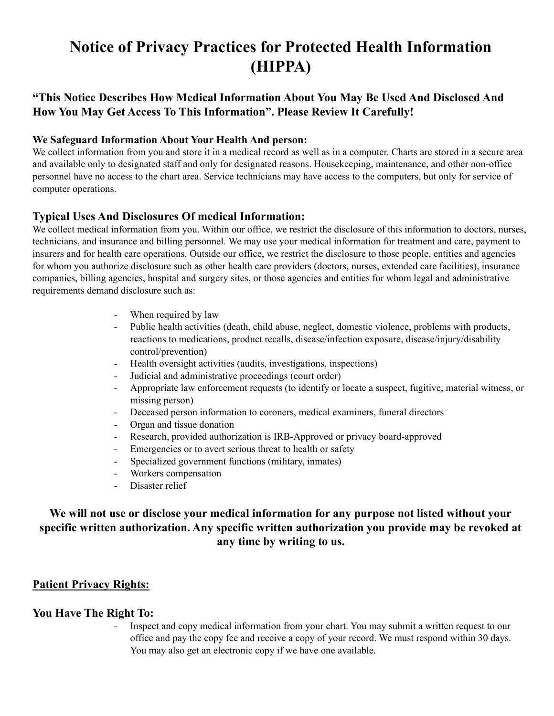# **Notice of Privacy Practices for Protected Health Information (HIPPA)**

## **"This Notice Describes How Medical Information About You May Be Used And Disclosed And How You May Get Access To This Information". Please Review It Carefully!**

#### **We Safeguard Information About Your Health And person:**

We collect information from you and store it in a medical record as well as in a computer. Charts are stored in a secure area and available only to designated staff and only for designated reasons. Housekeeping, maintenance, and other non-office personnel have no access to the chart area. Service technicians may have access to the computers, but only for service of computer operations.

### **Typical Uses And Disclosures Of medical Information:**

We collect medical information from you. Within our office, we restrict the disclosure of this information to doctors, nurses, technicians, and insurance and billing personnel. We may use your medical information for treatment and care, payment to insurers and for health care operations. Outside our office, we restrict the disclosure to those people, entities and agencies for whom you authorize disclosure such as other health care providers (doctors, nurses, extended care facilities), insurance companies, billing agencies, hospital and surgery sites, or those agencies and entities for whom legal and administrative requirements demand disclosure such as:

- When required by law
- Public health activities (death, child abuse, neglect, domestic violence, problems with products, reactions to medications, product recalls, disease/infection exposure, disease/injury/disability control/prevention)
- Health oversight activities (audits, investigations, inspections)
- Judicial and administrative proceedings (court order)
- Appropriate law enforcement requests (to identify or locate a suspect, fugitive, material witness, or missing person)
- Deceased person information to coroners, medical examiners, funeral directors
- Organ and tissue donation
- Research, provided authorization is IRB-Approved or privacy board-approved
- Emergencies or to avert serious threat to health or safety
- Specialized government functions (military, inmates)
- Workers compensation
- Disaster relief

## **We will not use or disclose your medical information for any purpose not listed without your specific written authorization. Any specific written authorization you provide may be revoked at any time by writing to us.**

### **Patient Privacy Rights:**

#### **You Have The Right To:**

- Inspect and copy medical information from your chart. You may submit a written request to our office and pay the copy fee and receive a copy of your record. We must respond within 30 days. You may also get an electronic copy if we have one available.